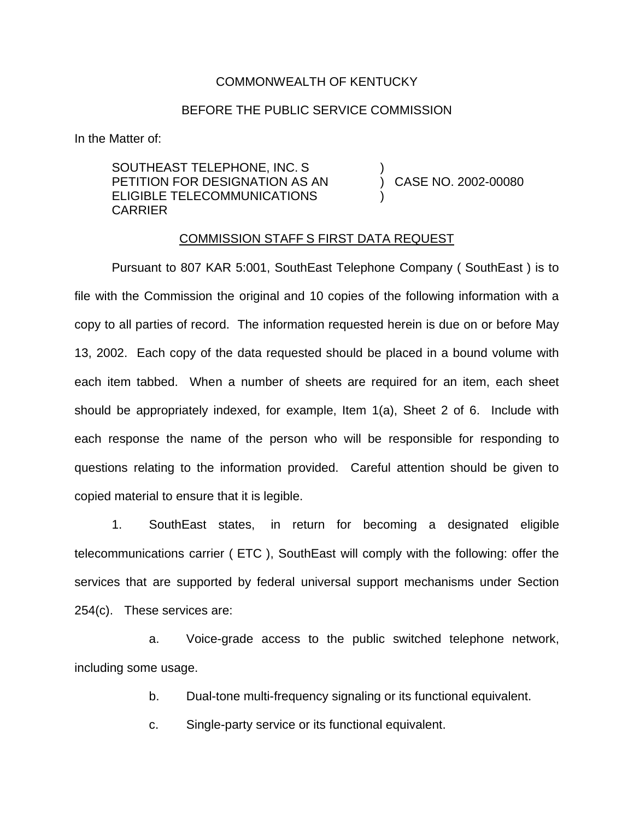## COMMONWEALTH OF KENTUCKY

## BEFORE THE PUBLIC SERVICE COMMISSION

)

)

In the Matter of:

SOUTHEAST TELEPHONE, INC. S PETITION FOR DESIGNATION AS AN ELIGIBLE TELECOMMUNICATIONS CARRIER

) CASE NO. 2002-00080

## COMMISSION STAFF S FIRST DATA REQUEST

Pursuant to 807 KAR 5:001, SouthEast Telephone Company ( SouthEast ) is to file with the Commission the original and 10 copies of the following information with a copy to all parties of record. The information requested herein is due on or before May 13, 2002. Each copy of the data requested should be placed in a bound volume with each item tabbed. When a number of sheets are required for an item, each sheet should be appropriately indexed, for example, Item 1(a), Sheet 2 of 6. Include with each response the name of the person who will be responsible for responding to questions relating to the information provided. Careful attention should be given to copied material to ensure that it is legible.

1. SouthEast states, in return for becoming a designated eligible telecommunications carrier ( ETC ), SouthEast will comply with the following: offer the services that are supported by federal universal support mechanisms under Section 254(c). These services are:

a. Voice-grade access to the public switched telephone network, including some usage.

b. Dual-tone multi-frequency signaling or its functional equivalent.

c. Single-party service or its functional equivalent.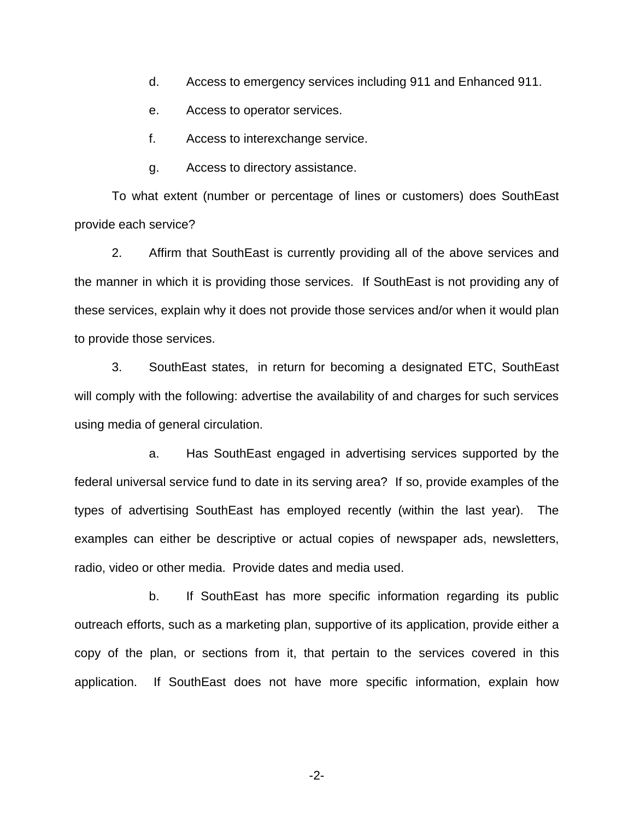- d. Access to emergency services including 911 and Enhanced 911.
- e. Access to operator services.
- f. Access to interexchange service.
- g. Access to directory assistance.

To what extent (number or percentage of lines or customers) does SouthEast provide each service?

2. Affirm that SouthEast is currently providing all of the above services and the manner in which it is providing those services. If SouthEast is not providing any of these services, explain why it does not provide those services and/or when it would plan to provide those services.

3. SouthEast states, in return for becoming a designated ETC, SouthEast will comply with the following: advertise the availability of and charges for such services using media of general circulation.

a. Has SouthEast engaged in advertising services supported by the federal universal service fund to date in its serving area? If so, provide examples of the types of advertising SouthEast has employed recently (within the last year). The examples can either be descriptive or actual copies of newspaper ads, newsletters, radio, video or other media. Provide dates and media used.

b. If SouthEast has more specific information regarding its public outreach efforts, such as a marketing plan, supportive of its application, provide either a copy of the plan, or sections from it, that pertain to the services covered in this application. If SouthEast does not have more specific information, explain how

-2-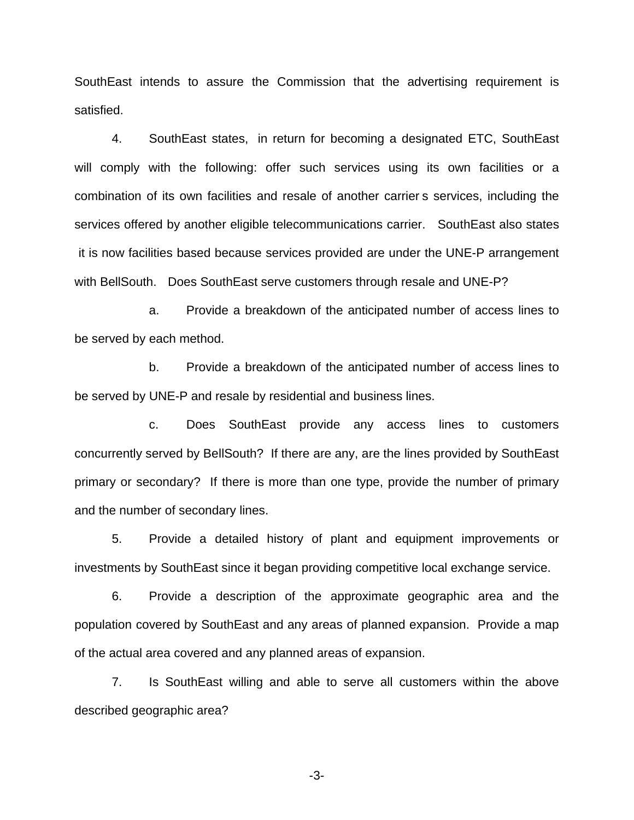SouthEast intends to assure the Commission that the advertising requirement is satisfied.

4. SouthEast states, in return for becoming a designated ETC, SouthEast will comply with the following: offer such services using its own facilities or a combination of its own facilities and resale of another carrier s services, including the services offered by another eligible telecommunications carrier. SouthEast also states it is now facilities based because services provided are under the UNE-P arrangement with BellSouth. Does SouthEast serve customers through resale and UNE-P?

a. Provide a breakdown of the anticipated number of access lines to be served by each method.

b. Provide a breakdown of the anticipated number of access lines to be served by UNE-P and resale by residential and business lines.

c. Does SouthEast provide any access lines to customers concurrently served by BellSouth? If there are any, are the lines provided by SouthEast primary or secondary? If there is more than one type, provide the number of primary and the number of secondary lines.

5. Provide a detailed history of plant and equipment improvements or investments by SouthEast since it began providing competitive local exchange service.

6. Provide a description of the approximate geographic area and the population covered by SouthEast and any areas of planned expansion. Provide a map of the actual area covered and any planned areas of expansion.

7. Is SouthEast willing and able to serve all customers within the above described geographic area?

-3-